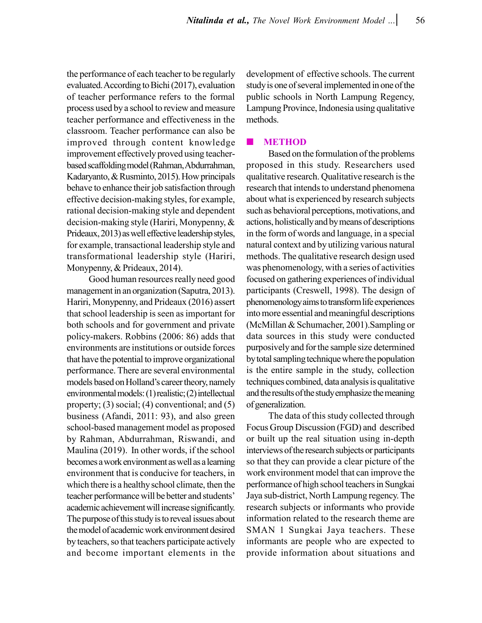the performance of each teacher to be regularly evaluated. According to Bichi (2017), evaluation of teacher performance refers to the formal process used by a school to review and measure teacher performance and effectiveness in the classroom. Teacher performance can also be improved through content knowledge improvement effectively proved using teacherbased scaffolding model (Rahman, Abdurrahman, Kadaryanto, & Rusminto, 2015). How principals behave to enhance their job satisfaction through effective decision-making styles, for example, rational decision-making style and dependent decision-making style (Hariri, Monypenny, & Prideaux, 2013) as well effective leadership styles, for example, transactional leadership style and transformational leadership style (Hariri, Monypenny, & Prideaux, 2014).

Good human resources really need good management in an organization (Saputra, 2013). Hariri, Monypenny, and Prideaux (2016) assert that school leadership is seen as important for both schools and for government and private policy-makers. Robbins (2006: 86) adds that environments are institutions or outside forces that have the potential to improve organizational performance. There are several environmental models based on Holland's career theory, namely environmental models: (1) realistic; (2) intellectual property;  $(3)$  social;  $(4)$  conventional; and  $(5)$ business (Afandi, 2011: 93), and also green school-based management model as proposed by Rahman, Abdurrahman, Riswandi, and Maulina (2019). In other words, if the school becomes a work environment as well as a learning environment that is conducive for teachers, in which there is a healthy school climate, then the teacher performance will be better and students' academic achievement will increase significantly. The purpose of this study is to reveal issues about the model of academic work environment desired by teachers, so that teachers participate actively and become important elements in the development of effective schools. The current study is one of several implemented in one of the public schools in North Lampung Regency, Lampung Province, Indonesia using qualitative methods.

### **METHOD**

Based on the formulation of the problems proposed in this study. Researchers used qualitative research. Qualitative research is the research that intends to understand phenomena about what is experienced by research subjects such as behavioral perceptions, motivations, and actions, holistically and by means of descriptions in the form of words and language, in a special natural context and by utilizing various natural methods. The qualitative research design used was phenomenology, with a series of activities focused on gathering experiences of individual participants (Creswell, 1998). The design of phenomenology aims to transform life experiences into more essential and meaningful descriptions (McMillan & Schumacher, 2001).Sampling or data sources in this study were conducted purposively and for the sample size determined by total sampling technique where the population is the entire sample in the study, collection techniques combined, data analysis is qualitative and the results of the study emphasize the meaning of generalization.

The data of this study collected through Focus Group Discussion (FGD) and described or built up the real situation using in-depth interviews of the research subjects or participants so that they can provide a clear picture of the work environment model that can improve the performance of high school teachers in Sungkai Jaya sub-district, North Lampung regency. The research subjects or informants who provide information related to the research theme are SMAN 1 Sungkai Jaya teachers. These informants are people who are expected to provide information about situations and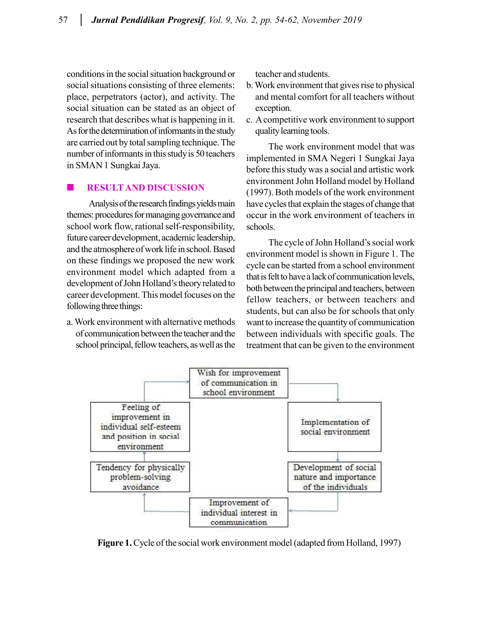conditions in the social situation background or social situations consisting of three elements: place, perpetrators (actor), and activity. The social situation can be stated as an object of research that describes what is happening in it. As for the determination of informants in the study are carried out by total sampling technique. The number of informants in this study is 50 teachers in SMAN 1 Sungkai Jaya.

## **RESULT AND DISCUSSION**

Analysis of the research findings yields main themes: procedures for managing governance and school work flow, rational self-responsibility, future career development, academic leadership, and the atmosphere of work life in school. Based on these findings we proposed the new work environment model which adapted from a development of John Holland's theory related to career development. This model focuses on the following three things:

a. Work environment with alternative methods of communication between the teacher and the school principal, fellow teachers, as well as the teacher and students.

- b. Work environment that gives rise to physical and mental comfort for all teachers without exception.
- c. A competitive work environment to support quality learning tools.

The work environment model that was implemented in SMA Negeri 1 Sungkai Jaya before this study was a social and artistic work environment John Holland model by Holland (1997). Both models of the work environment have cycles that explain the stages of change that occur in the work environment of teachers in schools.

The cycle of John Holland's social work environment model is shown in Figure 1. The cycle can be started from a school environment that is felt to have a lack of communication levels, both between the principal and teachers, between fellow teachers, or between teachers and students, but can also be for schools that only want to increase the quantity of communication between individuals with specific goals. The treatment that can be given to the environment



**Figure 1.** Cycle of the social work environment model (adapted from Holland, 1997)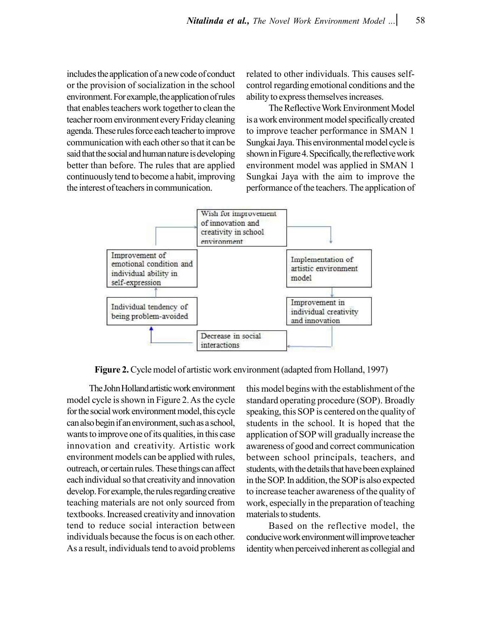includes the application of a new code of conduct or the provision of socialization in the school environment. For example, the application of rules that enables teachers work together to clean the teacher room environment every Friday cleaning agenda. These rules force each teacher to improve communication with each other so that it can be said that the social and human nature is developing better than before. The rules that are applied continuously tend to become a habit, improving the interest of teachers in communication.

related to other individuals. This causes selfcontrol regarding emotional conditions and the ability to express themselves increases.

The Reflective Work Environment Model is a work environment model specifically created to improve teacher performance in SMAN 1 Sungkai Jaya. This environmental model cycle is shown in Figure 4. Specifically, the reflective work environment model was applied in SMAN 1 Sungkai Jaya with the aim to improve the performance of the teachers. The application of



**Figure 2.** Cycle model of artistic work environment (adapted from Holland, 1997)

The John Holland artistic work environment model cycle is shown in Figure 2. As the cycle for the social work environment model, this cycle can also begin if an environment, such as a school, wants to improve one of its qualities, in this case innovation and creativity. Artistic work environment models can be applied with rules, outreach, or certain rules. These things can affect each individual so that creativity and innovation develop. For example, the rules regarding creative teaching materials are not only sourced from textbooks. Increased creativity and innovation tend to reduce social interaction between individuals because the focus is on each other. As a result, individuals tend to avoid problems

this model begins with the establishment of the standard operating procedure (SOP). Broadly speaking, this SOP is centered on the quality of students in the school. It is hoped that the application of SOP will gradually increase the awareness of good and correct communication between school principals, teachers, and students, with the details that have been explained in the SOP. In addition, the SOP is also expected to increase teacher awareness of the quality of work, especially in the preparation of teaching materials to students.

Based on the reflective model, the conducive work environment will improve teacher identity when perceived inherent as collegial and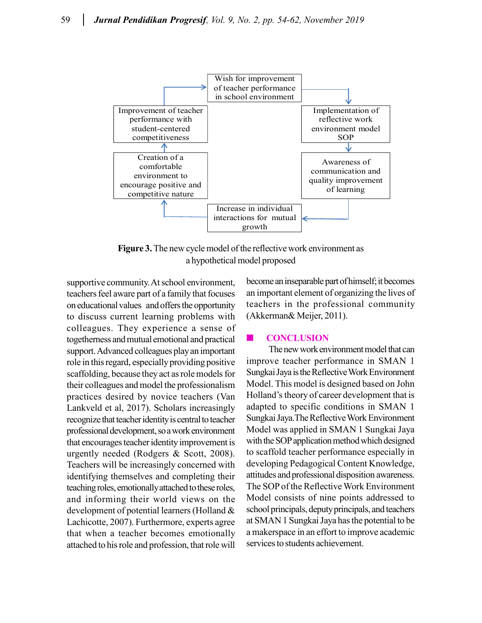

**Figure 3.** The new cycle model of the reflective work environment as a hypothetical model proposed

supportive community. At school environment, teachers feel aware part of a family that focuses on educational values and offers the opportunity to discuss current learning problems with colleagues. They experience a sense of togetherness and mutual emotional and practical support. Advanced colleagues play an important role in this regard, especially providing positive scaffolding, because they act as role models for their colleagues and model the professionalism practices desired by novice teachers (Van Lankveld et al, 2017). Scholars increasingly recognize that teacher identity is central to teacher professional development, so a work environment that encourages teacher identity improvement is urgently needed (Rodgers & Scott, 2008). Teachers will be increasingly concerned with identifying themselves and completing their teaching roles, emotionally attached to these roles, and informing their world views on the development of potential learners (Holland & Lachicotte, 2007). Furthermore, experts agree that when a teacher becomes emotionally attached to his role and profession, that role will

become an inseparable part of himself; it becomes an important element of organizing the lives of teachers in the professional community (Akkerman& Meijer, 2011).

### **CONCLUSION**

The new work environment model that can improve teacher performance in SMAN 1 Sungkai Jaya is the Reflective Work Environment Model. This model is designed based on John Holland's theory of career development that is adapted to specific conditions in SMAN 1 Sungkai Jaya.The Reflective Work Environment Model was applied in SMAN 1 Sungkai Jaya with the SOP application method which designed to scaffold teacher performance especially in developing Pedagogical Content Knowledge, attitudes and professional disposition awareness. The SOP of the Reflective Work Environment Model consists of nine points addressed to school principals, deputy principals, and teachers at SMAN 1 Sungkai Jaya has the potential to be a makerspace in an effort to improve academic services to students achievement.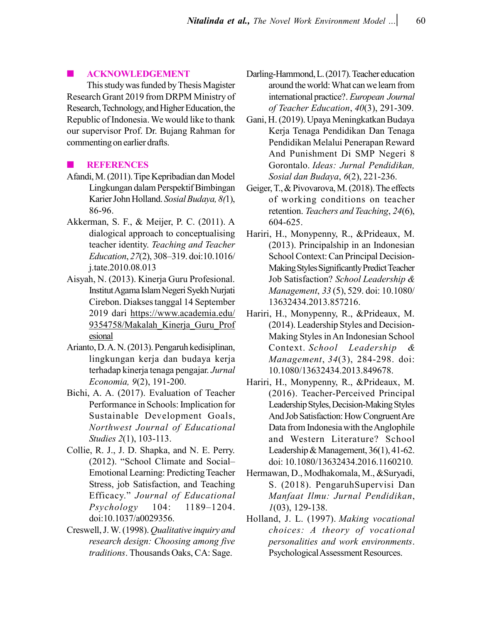#### **ACKNOWLEDGEMENT**

This study was funded by Thesis Magister Research Grant 2019 from DRPM Ministry of Research, Technology, and Higher Education, the Republic of Indonesia. We would like to thank our supervisor Prof. Dr. Bujang Rahman for commenting on earlier drafts.

# **REFERENCES**

- Afandi, M. (2011). Tipe Kepribadian dan Model Lingkungan dalam Perspektif Bimbingan Karier John Holland. *Sosial Budaya, 8(*1), 86-96.
- Akkerman, S. F., & Meijer, P. C. (2011). A dialogical approach to conceptualising teacher identity. *Teaching and Teacher Education*, *27*(2), 308–319. doi:10.1016/ j.tate.2010.08.013
- Aisyah, N. (2013). Kinerja Guru Profesional. Institut Agama Islam Negeri Syekh Nurjati Cirebon. Diakses tanggal 14 September 2019 dari https://www.academia.edu/ 9354758/Makalah\_Kinerja\_Guru\_Prof esional
- Arianto, D. A. N. (2013). Pengaruh kedisiplinan, lingkungan kerja dan budaya kerja terhadap kinerja tenaga pengajar. *Jurnal Economia, 9*(2), 191-200.
- Bichi, A. A. (2017). Evaluation of Teacher Performance in Schools: Implication for Sustainable Development Goals, *Northwest Journal of Educational Studies 2*(1), 103-113.
- Collie, R. J., J. D. Shapka, and N. E. Perry. (2012). "School Climate and Social– Emotional Learning: Predicting Teacher Stress, job Satisfaction, and Teaching Efficacy." *Journal of Educational Psychology* 104: 1189–1204. doi:10.1037/a0029356.
- Creswell, J. W. (1998). *Qualitative inquiry and research design: Choosing among five traditions*. Thousands Oaks, CA: Sage.
- Darling-Hammond, L. (2017). Teacher education around the world: What can we learn from international practice?. *European Journal of Teacher Education*, *40*(3), 291-309.
- Gani, H. (2019). Upaya Meningkatkan Budaya Kerja Tenaga Pendidikan Dan Tenaga Pendidikan Melalui Penerapan Reward And Punishment Di SMP Negeri 8 Gorontalo. *Ideas: Jurnal Pendidikan, Sosial dan Budaya*, *6*(2), 221-236.
- Geiger, T., & Pivovarova, M. (2018). The effects of working conditions on teacher retention. *Teachers and Teaching*, *24*(6), 604-625.
- Hariri, H., Monypenny, R., &Prideaux, M. (2013). Principalship in an Indonesian School Context: Can Principal Decision-Making Styles Significantly Predict Teacher Job Satisfaction? *School Leadership & Management*, *33* (5), 529. doi: 10.1080/ 13632434.2013.857216.
- Hariri, H., Monypenny, R., &Prideaux, M. (2014). Leadership Styles and Decision-Making Styles in An Indonesian School Context. *School Leadership & Management*, *34*(3), 284-298. doi: 10.1080/13632434.2013.849678.
- Hariri, H., Monypenny, R., &Prideaux, M. (2016). Teacher-Perceived Principal Leadership Styles, Decision-Making Styles And Job Satisfaction: How Congruent Are Data from Indonesia with the Anglophile and Western Literature? School Leadership & Management, 36(1), 41-62. doi: 10.1080/13632434.2016.1160210.
- Hermawan, D., Modhakomala, M., &Suryadi, S. (2018). PengaruhSupervisi Dan *Manfaat Ilmu: Jurnal Pendidikan*, *1*(03), 129-138.
- Holland, J. L. (1997). *Making vocational choices: A theory of vocational personalities and work environments*. Psychological Assessment Resources.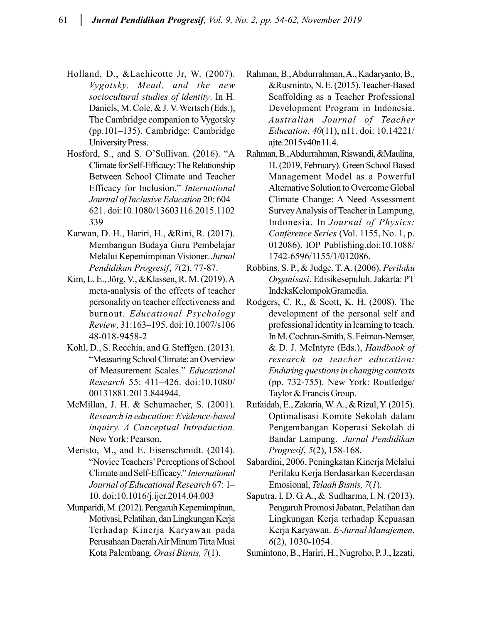- Holland, D., &Lachicotte Jr, W. (2007). *Vygotsky, Mead, and the new sociocultural studies of identity*. In H. Daniels, M. Cole, & J. V. Wertsch (Eds.), The Cambridge companion to Vygotsky (pp.101–135). Cambridge: Cambridge University Press.
- Hosford, S., and S. O'Sullivan. (2016). "A Climate for Self-Efficacy: The Relationship Between School Climate and Teacher Efficacy for Inclusion." *International Journal of Inclusive Education* 20: 604– 621. doi:10.1080/13603116.2015.1102 339
- Karwan, D. H., Hariri, H., &Rini, R. (2017). Membangun Budaya Guru Pembelajar Melalui Kepemimpinan Visioner. *Jurnal Pendidikan Progresif*, *7*(2), 77-87.
- Kim, L. E., Jörg, V., &Klassen, R. M. (2019). A meta-analysis of the effects of teacher personality on teacher effectiveness and burnout. *Educational Psychology Review*, 31:163–195. doi:10.1007/s106 48-018-9458-2
- Kohl, D., S. Recchia, and G. Steffgen. (2013). "Measuring School Climate: an Overview of Measurement Scales." *Educational Research* 55: 411–426. doi:10.1080/ 00131881.2013.844944.
- McMillan, J. H. & Schumacher, S. (2001). *Research in education: Evidence-based inquiry. A Conceptual Introduction*. New York: Pearson.
- Meristo, M., and E. Eisenschmidt. (2014). "Novice Teachers' Perceptions of School Climate and Self-Efficacy." *International Journal of Educational Research* 67: 1– 10. doi:10.1016/j.ijer.2014.04.003
- Munparidi, M. (2012). Pengaruh Kepemimpinan, Motivasi, Pelatihan, dan Lingkungan Kerja Terhadap Kinerja Karyawan pada Perusahaan Daerah Air Minum Tirta Musi Kota Palembang. *Orasi Bisnis, 7*(1).
- Rahman, B., Abdurrahman, A., Kadaryanto, B., &Rusminto, N. E. (2015). Teacher-Based Scaffolding as a Teacher Professional Development Program in Indonesia. *Australian Journal of Teacher Education*, *40*(11), n11. doi: 10.14221/ ajte.2015v40n11.4.
- Rahman, B., Abdurrahman, Riswandi, &Maulina, H. (2019, February). Green School Based Management Model as a Powerful Alternative Solution to Overcome Global Climate Change: A Need Assessment Survey Analysis of Teacher in Lampung, Indonesia. In *Journal of Physics: Conference Series* (Vol. 1155, No. 1, p. 012086). IOP Publishing.doi:10.1088/ 1742-6596/1155/1/012086.
- Robbins, S. P., & Judge, T. A. (2006). *Perilaku Organisasi*. Edisikesepuluh. Jakarta: PT IndeksKelompokGramedia.
- Rodgers, C. R., & Scott, K. H. (2008). The development of the personal self and professional identity in learning to teach. In M. Cochran-Smith, S. Feiman-Nemser, & D. J. McIntyre (Eds.), *Handbook of research on teacher education: Enduring questions in changing contexts* (pp. 732-755). New York: Routledge/ Taylor & Francis Group.
- Rufaidah, E., Zakaria, W. A., & Rizal, Y. (2015). Optimalisasi Komite Sekolah dalam Pengembangan Koperasi Sekolah di Bandar Lampung. *Jurnal Pendidikan Progresif*, *5*(2), 158-168.
- Sabardini, 2006, Peningkatan Kinerja Melalui Perilaku Kerja Berdasarkan Kecerdasan Emosional, *Telaah Bisnis, 7*(*1*).
- Saputra, I. D. G. A., & Sudharma, I. N. (2013). Pengaruh Promosi Jabatan, Pelatihan dan Lingkungan Kerja terhadap Kepuasan Kerja Karyawan. *E-Jurnal Manajemen*, *6*(2), 1030-1054.
- Sumintono, B., Hariri, H., Nugroho, P. J., Izzati,